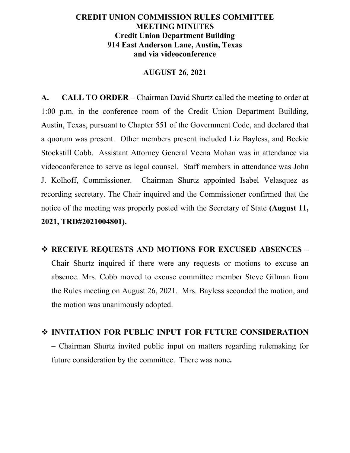## **CREDIT UNION COMMISSION RULES COMMITTEE MEETING MINUTES Credit Union Department Building 914 East Anderson Lane, Austin, Texas and via videoconference**

### **AUGUST 26, 2021**

**A. CALL TO ORDER** – Chairman David Shurtz called the meeting to order at 1:00 p.m. in the conference room of the Credit Union Department Building, Austin, Texas, pursuant to Chapter 551 of the Government Code, and declared that a quorum was present. Other members present included Liz Bayless, and Beckie Stockstill Cobb. Assistant Attorney General Veena Mohan was in attendance via videoconference to serve as legal counsel. Staff members in attendance was John J. Kolhoff, Commissioner. Chairman Shurtz appointed Isabel Velasquez as recording secretary. The Chair inquired and the Commissioner confirmed that the notice of the meeting was properly posted with the Secretary of State **(August 11, 2021, TRD#2021004801).**

# **RECEIVE REQUESTS AND MOTIONS FOR EXCUSED ABSENCES** – Chair Shurtz inquired if there were any requests or motions to excuse an absence. Mrs. Cobb moved to excuse committee member Steve Gilman from the Rules meeting on August 26, 2021. Mrs. Bayless seconded the motion, and the motion was unanimously adopted.

# **INVITATION FOR PUBLIC INPUT FOR FUTURE CONSIDERATION** – Chairman Shurtz invited public input on matters regarding rulemaking for future consideration by the committee. There was none**.**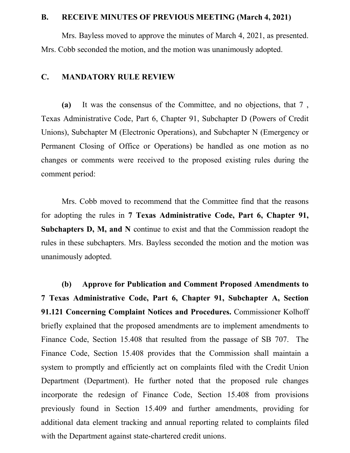#### **B. RECEIVE MINUTES OF PREVIOUS MEETING (March 4, 2021)**

Mrs. Bayless moved to approve the minutes of March 4, 2021, as presented. Mrs. Cobb seconded the motion, and the motion was unanimously adopted.

#### **C. MANDATORY RULE REVIEW**

**(a)** It was the consensus of the Committee, and no objections, that 7 , Texas Administrative Code, Part 6, Chapter 91, Subchapter D (Powers of Credit Unions), Subchapter M (Electronic Operations), and Subchapter N (Emergency or Permanent Closing of Office or Operations) be handled as one motion as no changes or comments were received to the proposed existing rules during the comment period:

Mrs. Cobb moved to recommend that the Committee find that the reasons for adopting the rules in **7 Texas Administrative Code, Part 6, Chapter 91, Subchapters D, M, and N** continue to exist and that the Commission readopt the rules in these subchapters. Mrs. Bayless seconded the motion and the motion was unanimously adopted.

**(b) Approve for Publication and Comment Proposed Amendments to 7 Texas Administrative Code, Part 6, Chapter 91, Subchapter A, Section 91.121 Concerning Complaint Notices and Procedures.** Commissioner Kolhoff briefly explained that the proposed amendments are to implement amendments to Finance Code, Section 15.408 that resulted from the passage of SB 707. The Finance Code, Section 15.408 provides that the Commission shall maintain a system to promptly and efficiently act on complaints filed with the Credit Union Department (Department). He further noted that the proposed rule changes incorporate the redesign of Finance Code, Section 15.408 from provisions previously found in Section 15.409 and further amendments, providing for additional data element tracking and annual reporting related to complaints filed with the Department against state-chartered credit unions.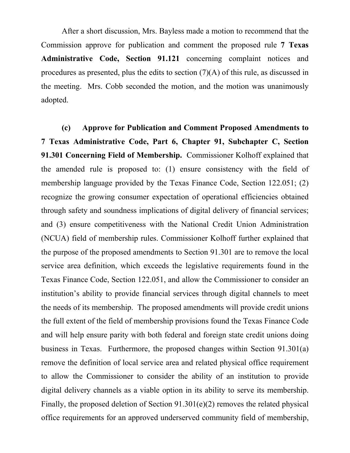After a short discussion, Mrs. Bayless made a motion to recommend that the Commission approve for publication and comment the proposed rule **7 Texas Administrative Code, Section 91.121** concerning complaint notices and procedures as presented, plus the edits to section  $(7)(A)$  of this rule, as discussed in the meeting. Mrs. Cobb seconded the motion, and the motion was unanimously adopted.

**(c) Approve for Publication and Comment Proposed Amendments to 7 Texas Administrative Code, Part 6, Chapter 91, Subchapter C, Section 91.301 Concerning Field of Membership.** Commissioner Kolhoff explained that the amended rule is proposed to: (1) ensure consistency with the field of membership language provided by the Texas Finance Code, Section 122.051; (2) recognize the growing consumer expectation of operational efficiencies obtained through safety and soundness implications of digital delivery of financial services; and (3) ensure competitiveness with the National Credit Union Administration (NCUA) field of membership rules. Commissioner Kolhoff further explained that the purpose of the proposed amendments to Section 91.301 are to remove the local service area definition, which exceeds the legislative requirements found in the Texas Finance Code, Section 122.051, and allow the Commissioner to consider an institution's ability to provide financial services through digital channels to meet the needs of its membership. The proposed amendments will provide credit unions the full extent of the field of membership provisions found the Texas Finance Code and will help ensure parity with both federal and foreign state credit unions doing business in Texas. Furthermore, the proposed changes within Section 91.301(a) remove the definition of local service area and related physical office requirement to allow the Commissioner to consider the ability of an institution to provide digital delivery channels as a viable option in its ability to serve its membership. Finally, the proposed deletion of Section 91.301(e)(2) removes the related physical office requirements for an approved underserved community field of membership,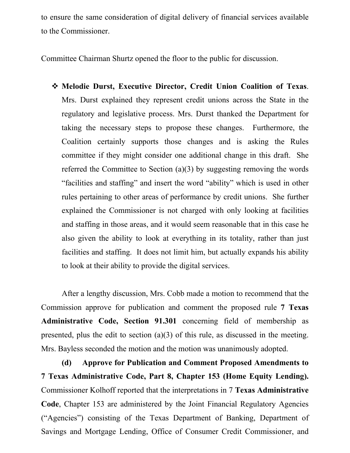to ensure the same consideration of digital delivery of financial services available to the Commissioner.

Committee Chairman Shurtz opened the floor to the public for discussion.

 **Melodie Durst, Executive Director, Credit Union Coalition of Texas**. Mrs. Durst explained they represent credit unions across the State in the regulatory and legislative process. Mrs. Durst thanked the Department for taking the necessary steps to propose these changes. Furthermore, the Coalition certainly supports those changes and is asking the Rules committee if they might consider one additional change in this draft. She referred the Committee to Section (a)(3) by suggesting removing the words "facilities and staffing" and insert the word "ability" which is used in other rules pertaining to other areas of performance by credit unions. She further explained the Commissioner is not charged with only looking at facilities and staffing in those areas, and it would seem reasonable that in this case he also given the ability to look at everything in its totality, rather than just facilities and staffing. It does not limit him, but actually expands his ability to look at their ability to provide the digital services.

After a lengthy discussion, Mrs. Cobb made a motion to recommend that the Commission approve for publication and comment the proposed rule **7 Texas Administrative Code, Section 91.301** concerning field of membership as presented, plus the edit to section (a)(3) of this rule, as discussed in the meeting. Mrs. Bayless seconded the motion and the motion was unanimously adopted.

**(d) Approve for Publication and Comment Proposed Amendments to 7 Texas Administrative Code, Part 8, Chapter 153 (Home Equity Lending).**  Commissioner Kolhoff reported that the interpretations in 7 **Texas Administrative Code**, Chapter 153 are administered by the Joint Financial Regulatory Agencies ("Agencies") consisting of the Texas Department of Banking, Department of Savings and Mortgage Lending, Office of Consumer Credit Commissioner, and